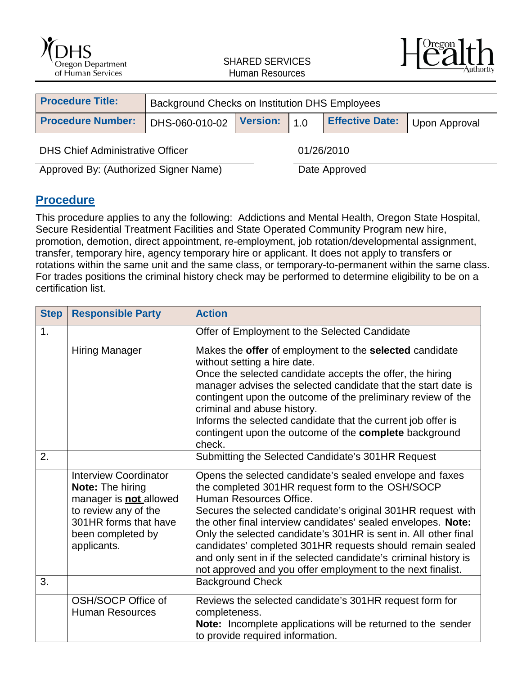



| <b>Procedure Title:</b>  | Background Checks on Institution DHS Employees |  |  |                        |               |
|--------------------------|------------------------------------------------|--|--|------------------------|---------------|
| <b>Procedure Number:</b> | DHS-060-010-02 Version: 1.0                    |  |  | <b>Effective Date:</b> | Upon Approval |
|                          |                                                |  |  |                        |               |

DHS Chief Administrative Officer 01/26/2010

Approved By: (Authorized Signer Name) Date Approved

#### **Procedure**

This procedure applies to any the following: Addictions and Mental Health, Oregon State Hospital, Secure Residential Treatment Facilities and State Operated Community Program new hire, promotion, demotion, direct appointment, re-employment, job rotation/developmental assignment, transfer, temporary hire, agency temporary hire or applicant. It does not apply to transfers or rotations within the same unit and the same class, or temporary-to-permanent within the same class. For trades positions the criminal history check may be performed to determine eligibility to be on a certification list.

| <b>Step</b> | <b>Responsible Party</b>                                                                                                                                                      | <b>Action</b>                                                                                                                                                                                                                                                                                                                                                                                                                                                                                                                               |
|-------------|-------------------------------------------------------------------------------------------------------------------------------------------------------------------------------|---------------------------------------------------------------------------------------------------------------------------------------------------------------------------------------------------------------------------------------------------------------------------------------------------------------------------------------------------------------------------------------------------------------------------------------------------------------------------------------------------------------------------------------------|
| 1.          |                                                                                                                                                                               | Offer of Employment to the Selected Candidate                                                                                                                                                                                                                                                                                                                                                                                                                                                                                               |
|             | <b>Hiring Manager</b>                                                                                                                                                         | Makes the offer of employment to the selected candidate<br>without setting a hire date.<br>Once the selected candidate accepts the offer, the hiring<br>manager advises the selected candidate that the start date is<br>contingent upon the outcome of the preliminary review of the<br>criminal and abuse history.<br>Informs the selected candidate that the current job offer is<br>contingent upon the outcome of the complete background<br>check.                                                                                    |
| 2.          |                                                                                                                                                                               | Submitting the Selected Candidate's 301HR Request                                                                                                                                                                                                                                                                                                                                                                                                                                                                                           |
|             | <b>Interview Coordinator</b><br><b>Note: The hiring</b><br>manager is <b>not</b> allowed<br>to review any of the<br>301HR forms that have<br>been completed by<br>applicants. | Opens the selected candidate's sealed envelope and faxes<br>the completed 301HR request form to the OSH/SOCP<br>Human Resources Office.<br>Secures the selected candidate's original 301HR request with<br>the other final interview candidates' sealed envelopes. Note:<br>Only the selected candidate's 301HR is sent in. All other final<br>candidates' completed 301HR requests should remain sealed<br>and only sent in if the selected candidate's criminal history is<br>not approved and you offer employment to the next finalist. |
| 3.          |                                                                                                                                                                               | <b>Background Check</b>                                                                                                                                                                                                                                                                                                                                                                                                                                                                                                                     |
|             | OSH/SOCP Office of<br><b>Human Resources</b>                                                                                                                                  | Reviews the selected candidate's 301HR request form for<br>completeness.<br><b>Note:</b> Incomplete applications will be returned to the sender<br>to provide required information.                                                                                                                                                                                                                                                                                                                                                         |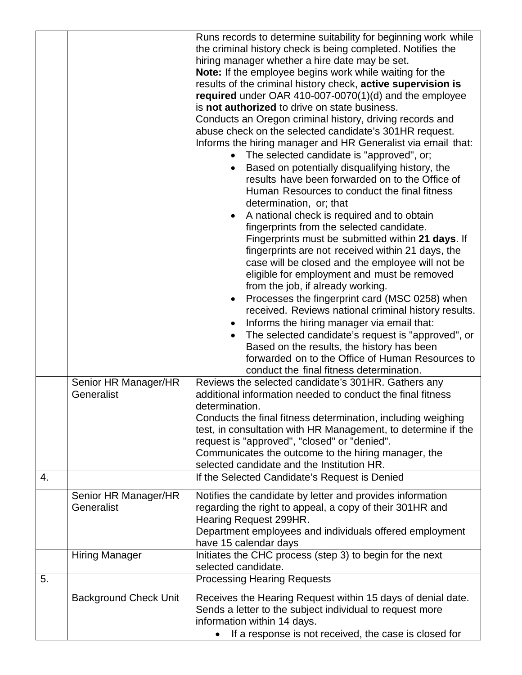|    |                              | Runs records to determine suitability for beginning work while                                                                                                                  |  |
|----|------------------------------|---------------------------------------------------------------------------------------------------------------------------------------------------------------------------------|--|
|    |                              | the criminal history check is being completed. Notifies the<br>hiring manager whether a hire date may be set.<br><b>Note:</b> If the employee begins work while waiting for the |  |
|    |                              |                                                                                                                                                                                 |  |
|    |                              |                                                                                                                                                                                 |  |
|    |                              | results of the criminal history check, active supervision is                                                                                                                    |  |
|    |                              | required under OAR 410-007-0070(1)(d) and the employee                                                                                                                          |  |
|    |                              | is not authorized to drive on state business.                                                                                                                                   |  |
|    |                              | Conducts an Oregon criminal history, driving records and                                                                                                                        |  |
|    |                              | abuse check on the selected candidate's 301HR request.                                                                                                                          |  |
|    |                              | Informs the hiring manager and HR Generalist via email that:                                                                                                                    |  |
|    |                              | The selected candidate is "approved", or;                                                                                                                                       |  |
|    |                              | Based on potentially disqualifying history, the                                                                                                                                 |  |
|    |                              | results have been forwarded on to the Office of                                                                                                                                 |  |
|    |                              |                                                                                                                                                                                 |  |
|    |                              | Human Resources to conduct the final fitness                                                                                                                                    |  |
|    |                              | determination, or; that                                                                                                                                                         |  |
|    |                              | A national check is required and to obtain                                                                                                                                      |  |
|    |                              | fingerprints from the selected candidate.                                                                                                                                       |  |
|    |                              | Fingerprints must be submitted within 21 days. If                                                                                                                               |  |
|    |                              | fingerprints are not received within 21 days, the                                                                                                                               |  |
|    |                              | case will be closed and the employee will not be                                                                                                                                |  |
|    |                              | eligible for employment and must be removed                                                                                                                                     |  |
|    |                              | from the job, if already working.                                                                                                                                               |  |
|    |                              | Processes the fingerprint card (MSC 0258) when                                                                                                                                  |  |
|    |                              | received. Reviews national criminal history results.                                                                                                                            |  |
|    |                              | Informs the hiring manager via email that:                                                                                                                                      |  |
|    |                              | The selected candidate's request is "approved", or<br>$\bullet$                                                                                                                 |  |
|    |                              | Based on the results, the history has been                                                                                                                                      |  |
|    |                              | forwarded on to the Office of Human Resources to                                                                                                                                |  |
|    |                              | conduct the final fitness determination.                                                                                                                                        |  |
|    | Senior HR Manager/HR         | Reviews the selected candidate's 301HR. Gathers any                                                                                                                             |  |
|    | Generalist                   | additional information needed to conduct the final fitness                                                                                                                      |  |
|    |                              | determination.                                                                                                                                                                  |  |
|    |                              | Conducts the final fitness determination, including weighing                                                                                                                    |  |
|    |                              | test, in consultation with HR Management, to determine if the                                                                                                                   |  |
|    |                              | request is "approved", "closed" or "denied".                                                                                                                                    |  |
|    |                              | Communicates the outcome to the hiring manager, the                                                                                                                             |  |
|    |                              | selected candidate and the Institution HR.                                                                                                                                      |  |
| 4. |                              | If the Selected Candidate's Request is Denied                                                                                                                                   |  |
|    | Senior HR Manager/HR         | Notifies the candidate by letter and provides information                                                                                                                       |  |
|    | Generalist                   | regarding the right to appeal, a copy of their 301HR and                                                                                                                        |  |
|    |                              | Hearing Request 299HR.                                                                                                                                                          |  |
|    |                              | Department employees and individuals offered employment                                                                                                                         |  |
|    |                              | have 15 calendar days                                                                                                                                                           |  |
|    | <b>Hiring Manager</b>        | Initiates the CHC process (step 3) to begin for the next                                                                                                                        |  |
|    |                              | selected candidate.                                                                                                                                                             |  |
| 5. |                              | <b>Processing Hearing Requests</b>                                                                                                                                              |  |
|    | <b>Background Check Unit</b> | Receives the Hearing Request within 15 days of denial date.                                                                                                                     |  |
|    |                              | Sends a letter to the subject individual to request more                                                                                                                        |  |
|    |                              | information within 14 days.                                                                                                                                                     |  |
|    |                              | If a response is not received, the case is closed for                                                                                                                           |  |